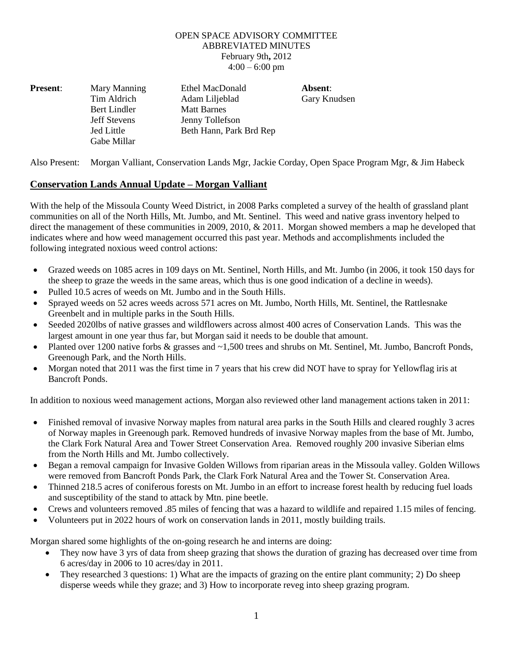## OPEN SPACE ADVISORY COMMITTEE ABBREVIATED MINUTES February 9th**,** 2012  $4:00 - 6:00$  pm

| <b>Present:</b> | Mary Manning        | Ethel MacDonald         | Absent:      |
|-----------------|---------------------|-------------------------|--------------|
|                 | Tim Aldrich         | Adam Liljeblad          | Gary Knudsen |
|                 | Bert Lindler        | <b>Matt Barnes</b>      |              |
|                 | <b>Jeff Stevens</b> | Jenny Tollefson         |              |
|                 | Jed Little          | Beth Hann, Park Brd Rep |              |
|                 | Gabe Millar         |                         |              |

Also Present: Morgan Valliant, Conservation Lands Mgr, Jackie Corday, Open Space Program Mgr, & Jim Habeck

## **Conservation Lands Annual Update – Morgan Valliant**

With the help of the Missoula County Weed District, in 2008 Parks completed a survey of the health of grassland plant communities on all of the North Hills, Mt. Jumbo, and Mt. Sentinel. This weed and native grass inventory helped to direct the management of these communities in 2009, 2010, & 2011. Morgan showed members a map he developed that indicates where and how weed management occurred this past year. Methods and accomplishments included the following integrated noxious weed control actions:

- Grazed weeds on 1085 acres in 109 days on Mt. Sentinel, North Hills, and Mt. Jumbo (in 2006, it took 150 days for the sheep to graze the weeds in the same areas, which thus is one good indication of a decline in weeds).
- Pulled 10.5 acres of weeds on Mt. Jumbo and in the South Hills.
- Sprayed weeds on 52 acres weeds across 571 acres on Mt. Jumbo, North Hills, Mt. Sentinel, the Rattlesnake Greenbelt and in multiple parks in the South Hills.
- Seeded 2020lbs of native grasses and wildflowers across almost 400 acres of Conservation Lands. This was the largest amount in one year thus far, but Morgan said it needs to be double that amount.
- Planted over 1200 native forbs & grasses and ~1,500 trees and shrubs on Mt. Sentinel, Mt. Jumbo, Bancroft Ponds, Greenough Park, and the North Hills.
- Morgan noted that 2011 was the first time in 7 years that his crew did NOT have to spray for Yellowflag iris at Bancroft Ponds.

In addition to noxious weed management actions, Morgan also reviewed other land management actions taken in 2011:

- Finished removal of invasive Norway maples from natural area parks in the South Hills and cleared roughly 3 acres of Norway maples in Greenough park. Removed hundreds of invasive Norway maples from the base of Mt. Jumbo, the Clark Fork Natural Area and Tower Street Conservation Area. Removed roughly 200 invasive Siberian elms from the North Hills and Mt. Jumbo collectively.
- Began a removal campaign for Invasive Golden Willows from riparian areas in the Missoula valley. Golden Willows were removed from Bancroft Ponds Park, the Clark Fork Natural Area and the Tower St. Conservation Area.
- Thinned 218.5 acres of coniferous forests on Mt. Jumbo in an effort to increase forest health by reducing fuel loads and susceptibility of the stand to attack by Mtn. pine beetle.
- Crews and volunteers removed .85 miles of fencing that was a hazard to wildlife and repaired 1.15 miles of fencing.
- Volunteers put in 2022 hours of work on conservation lands in 2011, mostly building trails.

Morgan shared some highlights of the on-going research he and interns are doing:

- They now have 3 yrs of data from sheep grazing that shows the duration of grazing has decreased over time from 6 acres/day in 2006 to 10 acres/day in 2011.
- They researched 3 questions: 1) What are the impacts of grazing on the entire plant community; 2) Do sheep disperse weeds while they graze; and 3) How to incorporate reveg into sheep grazing program.